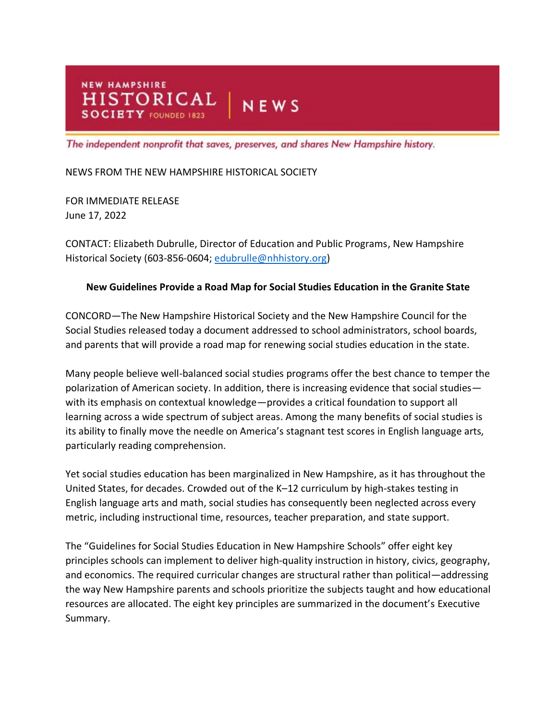**NEW HAMPSHIRE** HISTORICAL | NEWS **SOCIETY** FOUNDED 1823

The independent nonprofit that saves, preserves, and shares New Hampshire history.

## NEWS FROM THE NEW HAMPSHIRE HISTORICAL SOCIETY

FOR IMMEDIATE RELEASE June 17, 2022

CONTACT: Elizabeth Dubrulle, Director of Education and Public Programs, New Hampshire Historical Society (603-856-0604; [edubrulle@nhhistory.org\)](mailto:edubrulle@nhhistory.org)

## **New Guidelines Provide a Road Map for Social Studies Education in the Granite State**

CONCORD—The New Hampshire Historical Society and the New Hampshire Council for the Social Studies released today a document addressed to school administrators, school boards, and parents that will provide a road map for renewing social studies education in the state.

Many people believe well-balanced social studies programs offer the best chance to temper the polarization of American society. In addition, there is increasing evidence that social studies with its emphasis on contextual knowledge—provides a critical foundation to support all learning across a wide spectrum of subject areas. Among the many benefits of social studies is its ability to finally move the needle on America's stagnant test scores in English language arts, particularly reading comprehension.

Yet social studies education has been marginalized in New Hampshire, as it has throughout the United States, for decades. Crowded out of the K–12 curriculum by high-stakes testing in English language arts and math, social studies has consequently been neglected across every metric, including instructional time, resources, teacher preparation, and state support.

The "Guidelines for Social Studies Education in New Hampshire Schools" offer eight key principles schools can implement to deliver high-quality instruction in history, civics, geography, and economics. The required curricular changes are structural rather than political—addressing the way New Hampshire parents and schools prioritize the subjects taught and how educational resources are allocated. The eight key principles are summarized in the document's Executive Summary.